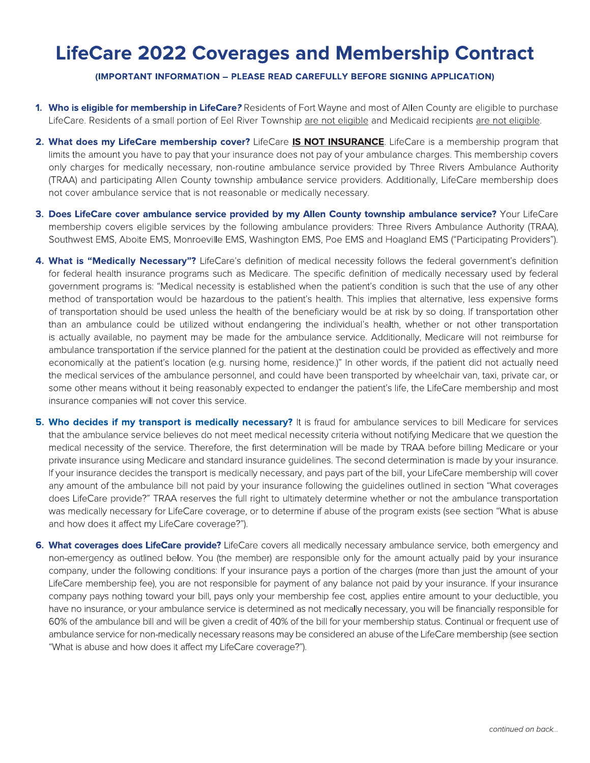## **LifeCare 2022 Coverages and Membership Contract**

(IMPORTANT INFORMATION - PLEASE READ CAREFULLY BEFORE SIGNING APPLICATION)

- 1. Who is eligible for membership in LifeCare? Residents of Fort Wayne and most of Allen County are eligible to purchase LifeCare. Residents of a small portion of Eel River Township are not eligible and Medicaid recipients are not eligible.
- 2. What does my LifeCare membership cover? LifeCare IS NOT INSURANCE. LifeCare is a membership program that limits the amount you have to pay that your insurance does not pay of your ambulance charges. This membership covers only charges for medically necessary, non-routine ambulance service provided by Three Rivers Ambulance Authority (TRAA) and participating Allen County township ambulance service providers. Additionally, LifeCare membership does not cover ambulance service that is not reasonable or medically necessary.
- 3. Does LifeCare cover ambulance service provided by my Allen County township ambulance service? Your LifeCare membership covers eligible services by the following ambulance providers: Three Rivers Ambulance Authority (TRAA), Southwest EMS, Aboite EMS, Monroeville EMS, Washington EMS, Poe EMS and Hoagland EMS ("Participating Providers").
- 4. What is "Medically Necessary"? LifeCare's definition of medical necessity follows the federal government's definition for federal health insurance programs such as Medicare. The specific definition of medically necessary used by federal government programs is: "Medical necessity is established when the patient's condition is such that the use of any other method of transportation would be hazardous to the patient's health. This implies that alternative, less expensive forms of transportation should be used unless the health of the beneficiary would be at risk by so doing. If transportation other than an ambulance could be utilized without endangering the individual's health, whether or not other transportation is actually available, no payment may be made for the ambulance service. Additionally, Medicare will not reimburse for ambulance transportation if the service planned for the patient at the destination could be provided as effectively and more economically at the patient's location (e.g. nursing home, residence.)" In other words, if the patient did not actually need the medical services of the ambulance personnel, and could have been transported by wheelchair van, taxi, private car, or some other means without it being reasonably expected to endanger the patient's life, the LifeCare membership and most insurance companies will not cover this service.
- 5. Who decides if my transport is medically necessary? It is fraud for ambulance services to bill Medicare for services that the ambulance service believes do not meet medical necessity criteria without notifying Medicare that we question the medical necessity of the service. Therefore, the first determination will be made by TRAA before billing Medicare or your private insurance using Medicare and standard insurance guidelines. The second determination is made by your insurance. If your insurance decides the transport is medically necessary, and pays part of the bill, your LifeCare membership will cover any amount of the ambulance bill not paid by your insurance following the guidelines outlined in section "What coverages does LifeCare provide?" TRAA reserves the full right to ultimately determine whether or not the ambulance transportation was medically necessary for LifeCare coverage, or to determine if abuse of the program exists (see section "What is abuse and how does it affect my LifeCare coverage?").
- 6. What coverages does LifeCare provide? LifeCare covers all medically necessary ambulance service, both emergency and non-emergency as outlined below. You (the member) are responsible only for the amount actually paid by your insurance company, under the following conditions: If your insurance pays a portion of the charges (more than just the amount of your LifeCare membership fee), you are not responsible for payment of any balance not paid by your insurance. If your insurance company pays nothing toward your bill, pays only your membership fee cost, applies entire amount to your deductible, you have no insurance, or your ambulance service is determined as not medically necessary, you will be financially responsible for 60% of the ambulance bill and will be given a credit of 40% of the bill for your membership status. Continual or frequent use of ambulance service for non-medically necessary reasons may be considered an abuse of the LifeCare membership (see section "What is abuse and how does it affect my LifeCare coverage?").